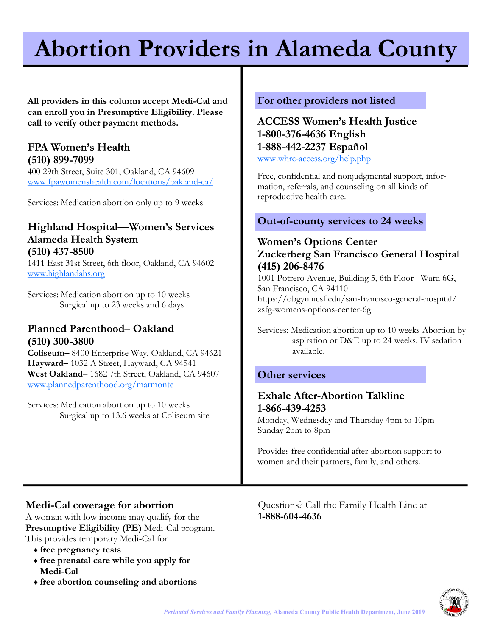# **Abortion Providers in Alameda County**

**All providers in this column accept Medi-Cal and can enroll you in Presumptive Eligibility. Please call to verify other payment methods.** 

#### **FPA Women's Health (510) 899-7099**

400 29th Street, Suite 301, Oakland, CA 94609 [www.fpawomenshealth.com/locations/oakland-ca/](http://www.fpawomenshealth.com/locations/oakland-ca/)

Services: Medication abortion only up to 9 weeks

# **Highland Hospital—Women's Services Alameda Health System (510) 437-8500**

1411 East 31st Street, 6th floor, Oakland, CA 94602 [www.highlandahs.org](http://www.highlandahs.org)

Services: Medication abortion up to 10 weeks Surgical up to 23 weeks and 6 days

### **Planned Parenthood– Oakland (510) 300-3800**

**Coliseum–** 8400 Enterprise Way, Oakland, CA 94621 **Hayward–** 1032 A Street, Hayward, CA 94541 **West Oakland–** 1682 7th Street, Oakland, CA 94607 [www.plannedparenthood.org/marmonte](http://www.plannedparenthood.org/marmonte)

Services: Medication abortion up to 10 weeks Surgical up to 13.6 weeks at Coliseum site

#### **For other providers not listed**

# **ACCESS Women's Health Justice 1-800-376-4636 English 1-888-442-2237 Español**

[www.whrc-access.org/help.php](http://www.whrc-access.org/help.php)

Free, confidential and nonjudgmental support, information, referrals, and counseling on all kinds of reproductive health care.

# **Out-of-county services to 24 weeks**

# **Women's Options Center Zuckerberg San Francisco General Hospital (415) 206-8476**

1001 Potrero Avenue, Building 5, 6th Floor– Ward 6G, San Francisco, CA 94110 https://obgyn.ucsf.edu/san-francisco-general-hospital/ zsfg-womens-options-center-6g

Services: Medication abortion up to 10 weeks Abortion by aspiration or D&E up to 24 weeks. IV sedation available.

# **Other services**

### **Exhale After-Abortion Talkline 1-866-439-4253**

Monday, Wednesday and Thursday 4pm to 10pm Sunday 2pm to 8pm

Provides free confidential after-abortion support to women and their partners, family, and others.

# **Medi-Cal coverage for abortion**

A woman with low income may qualify for the **Presumptive Eligibility (PE)** Medi-Cal program. This provides temporary Medi-Cal for

- **free pregnancy tests**
- **free prenatal care while you apply for Medi-Cal**
- **free abortion counseling and abortions**

Questions? Call the Family Health Line at **1-888-604-4636**